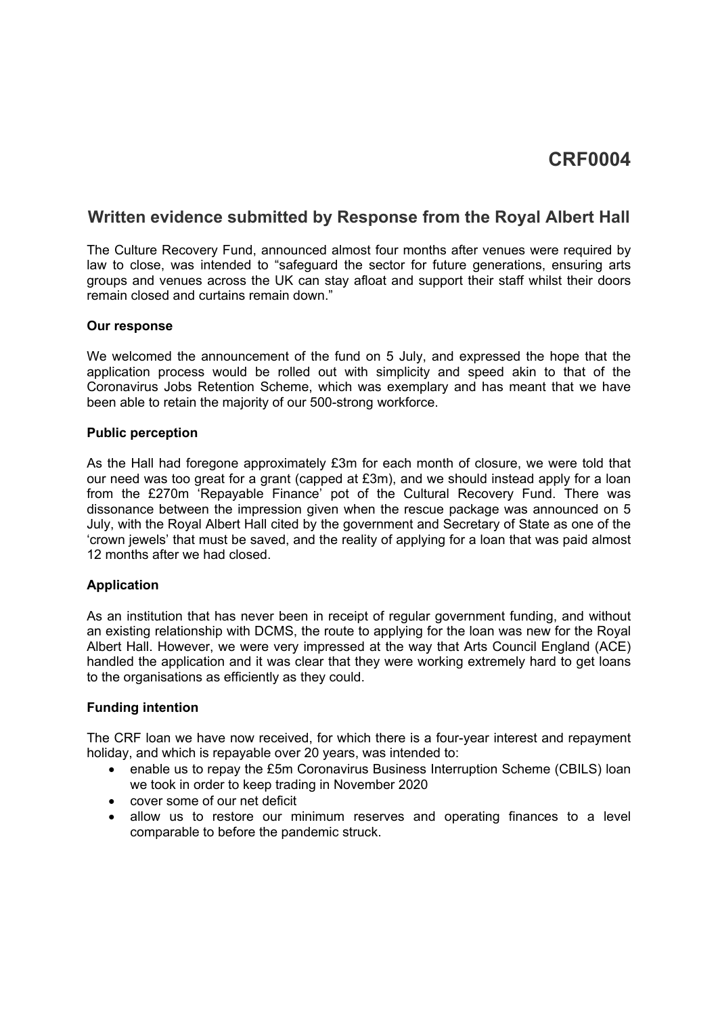# **Written evidence submitted by Response from the Royal Albert Hall**

The Culture Recovery Fund, announced almost four months after venues were required by law to close, was intended to "safeguard the sector for future generations, ensuring arts groups and venues across the UK can stay afloat and support their staff whilst their doors remain closed and curtains remain down."

#### **Our response**

We welcomed the announcement of the fund on 5 July, and expressed the hope that the application process would be rolled out with simplicity and speed akin to that of the Coronavirus Jobs Retention Scheme, which was exemplary and has meant that we have been able to retain the majority of our 500-strong workforce.

#### **Public perception**

As the Hall had foregone approximately £3m for each month of closure, we were told that our need was too great for a grant (capped at £3m), and we should instead apply for a loan from the £270m 'Repayable Finance' pot of the Cultural Recovery Fund. There was dissonance between the impression given when the rescue package was announced on 5 July, with the Royal Albert Hall cited by the government and Secretary of State as one of the 'crown jewels' that must be saved, and the reality of applying for a loan that was paid almost 12 months after we had closed.

## **Application**

As an institution that has never been in receipt of regular government funding, and without an existing relationship with DCMS, the route to applying for the loan was new for the Royal Albert Hall. However, we were very impressed at the way that Arts Council England (ACE) handled the application and it was clear that they were working extremely hard to get loans to the organisations as efficiently as they could.

## **Funding intention**

The CRF loan we have now received, for which there is a four-year interest and repayment holiday, and which is repayable over 20 years, was intended to:

- enable us to repay the £5m Coronavirus Business Interruption Scheme (CBILS) loan we took in order to keep trading in November 2020
- cover some of our net deficit
- allow us to restore our minimum reserves and operating finances to a level comparable to before the pandemic struck.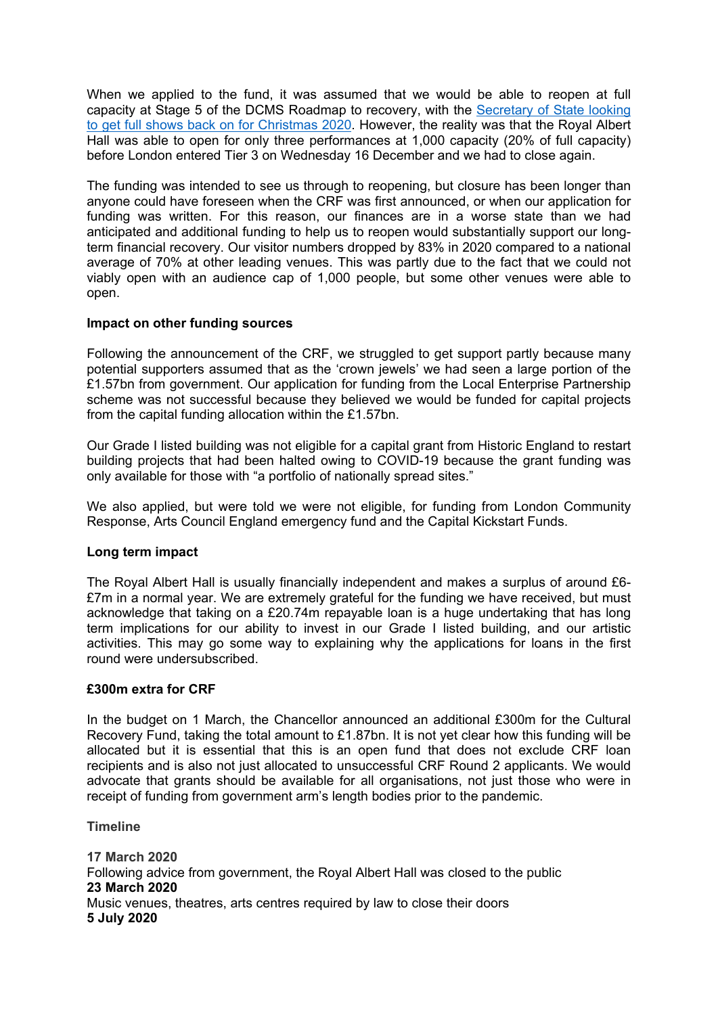When we applied to the fund, it was assumed that we would be able to reopen at full capa[ci](https://www.dailymail.co.uk/debate/article-8701877/OLIVER-DOWDEN-People-waiting-wings-shows-Christmas.html)ty at Stag[e](https://www.dailymail.co.uk/debate/article-8701877/OLIVER-DOWDEN-People-waiting-wings-shows-Christmas.html) 5 o[f](https://www.dailymail.co.uk/debate/article-8701877/OLIVER-DOWDEN-People-waiting-wings-shows-Christmas.html) the [DC](https://www.dailymail.co.uk/debate/article-8701877/OLIVER-DOWDEN-People-waiting-wings-shows-Christmas.html)MS Roa[dm](https://www.dailymail.co.uk/debate/article-8701877/OLIVER-DOWDEN-People-waiting-wings-shows-Christmas.html)ap to recovery, with the [Secretary](https://www.dailymail.co.uk/debate/article-8701877/OLIVER-DOWDEN-People-waiting-wings-shows-Christmas.html) [of](https://www.dailymail.co.uk/debate/article-8701877/OLIVER-DOWDEN-People-waiting-wings-shows-Christmas.html) [State](https://www.dailymail.co.uk/debate/article-8701877/OLIVER-DOWDEN-People-waiting-wings-shows-Christmas.html) [looking](https://www.dailymail.co.uk/debate/article-8701877/OLIVER-DOWDEN-People-waiting-wings-shows-Christmas.html) [to](https://www.dailymail.co.uk/debate/article-8701877/OLIVER-DOWDEN-People-waiting-wings-shows-Christmas.html) [get](https://www.dailymail.co.uk/debate/article-8701877/OLIVER-DOWDEN-People-waiting-wings-shows-Christmas.html) [full](https://www.dailymail.co.uk/debate/article-8701877/OLIVER-DOWDEN-People-waiting-wings-shows-Christmas.html) [shows](https://www.dailymail.co.uk/debate/article-8701877/OLIVER-DOWDEN-People-waiting-wings-shows-Christmas.html) [back](https://www.dailymail.co.uk/debate/article-8701877/OLIVER-DOWDEN-People-waiting-wings-shows-Christmas.html) [on](https://www.dailymail.co.uk/debate/article-8701877/OLIVER-DOWDEN-People-waiting-wings-shows-Christmas.html) [for](https://www.dailymail.co.uk/debate/article-8701877/OLIVER-DOWDEN-People-waiting-wings-shows-Christmas.html) [Christmas](https://www.dailymail.co.uk/debate/article-8701877/OLIVER-DOWDEN-People-waiting-wings-shows-Christmas.html) [2020.](https://www.dailymail.co.uk/debate/article-8701877/OLIVER-DOWDEN-People-waiting-wings-shows-Christmas.html) However, the reality was that the Royal Albert Hall was able to open for only three performances at 1,000 capacity (20% of full capacity) before London entered Tier 3 on Wednesday 16 December and we had to close again.

The funding was intended to see us through to reopening, but closure has been longer than anyone could have foreseen when the CRF was first announced, or when our application for funding was written. For this reason, our finances are in a worse state than we had anticipated and additional funding to help us to reopen would substantially support our longterm financial recovery. Our visitor numbers dropped by 83% in 2020 compared to a national average of 70% at other leading venues. This was partly due to the fact that we could not viably open with an audience cap of 1,000 people, but some other venues were able to open.

#### **Impact on other funding sources**

Following the announcement of the CRF, we struggled to get support partly because many potential supporters assumed that as the 'crown jewels' we had seen a large portion of the £1.57bn from government. Our application for funding from the Local Enterprise Partnership scheme was not successful because they believed we would be funded for capital projects from the capital funding allocation within the £1.57bn.

Our Grade I listed building was not eligible for a capital grant from Historic England to restart building projects that had been halted owing to COVID-19 because the grant funding was only available for those with "a portfolio of nationally spread sites."

We also applied, but were told we were not eligible, for funding from London Community Response, Arts Council England emergency fund and the Capital Kickstart Funds.

#### **Long term impact**

The Royal Albert Hall is usually financially independent and makes a surplus of around £6- £7m in a normal year. We are extremely grateful for the funding we have received, but must acknowledge that taking on a £20.74m repayable loan is a huge undertaking that has long term implications for our ability to invest in our Grade I listed building, and our artistic activities. This may go some way to explaining why the applications for loans in the first round were undersubscribed.

#### **£300m extra for CRF**

In the budget on 1 March, the Chancellor announced an additional £300m for the Cultural Recovery Fund, taking the total amount to £1.87bn. It is not yet clear how this funding will be allocated but it is essential that this is an open fund that does not exclude CRF loan recipients and is also not just allocated to unsuccessful CRF Round 2 applicants. We would advocate that grants should be available for all organisations, not just those who were in receipt of funding from government arm's length bodies prior to the pandemic.

#### **Timeline**

**17 March 2020** Following advice from government, the Royal Albert Hall was closed to the public **23 March 2020** Music venues, theatres, arts centres required by law to close their doors **5 July 2020**